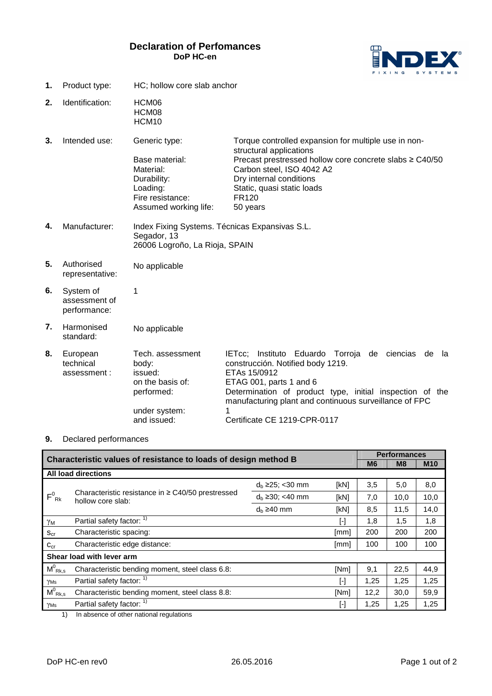## **Declaration of Perfomances DoP HC-en**



- **1.** Product type: HC; hollow core slab anchor
- **2.** Identification: HCM06 HCM08 HCM10

**3.** Intended use: Generic type: Base material: Material: Durability: Loading: Fire resistance: Assumed working life: Torque controlled expansion for multiple use in nonstructural applications Precast prestressed hollow core concrete slabs ≥ C40/50 Carbon steel, ISO 4042 A2 Dry internal conditions Static, quasi static loads FR120 50 years

- **4.** Manufacturer: Index Fixing Systems. Técnicas Expansivas S.L. Segador, 13 26006 Logroño, La Rioja, SPAIN
- **5.** Authorised representative: No applicable
- **6.** System of assessment of performance: 1
- **7.** Harmonised standard: No applicable
- **8.** European technical assessment : Tech. assessment body: issued: on the basis of: performed: under system: and issued: IETcc; Instituto Eduardo Torroja de ciencias de la construcción. Notified body 1219. ETAs 15/0912 ETAG 001, parts 1 and 6 Determination of product type, initial inspection of the manufacturing plant and continuous surveillance of FPC 1 Certificate CE 1219-CPR-0117

## **9.** Declared performances

|                                                                 |                                                                                                                                                                                                                                   |                        |           | <b>Performances</b> |      |            |  |  |
|-----------------------------------------------------------------|-----------------------------------------------------------------------------------------------------------------------------------------------------------------------------------------------------------------------------------|------------------------|-----------|---------------------|------|------------|--|--|
| Characteristic values of resistance to loads of design method B |                                                                                                                                                                                                                                   |                        |           |                     | M8   | <b>M10</b> |  |  |
| <b>All load directions</b>                                      |                                                                                                                                                                                                                                   |                        |           |                     |      |            |  |  |
| $F^0_{\; Rk}$                                                   | Characteristic resistance in ≥ C40/50 prestressed<br>hollow core slab:                                                                                                                                                            | $d_b \ge 25$ ; < 30 mm | [kN]      | 3,5                 | 5,0  | 8,0        |  |  |
|                                                                 |                                                                                                                                                                                                                                   | $d_b \ge 30$ ; <40 mm  | [kN]      | 7,0                 | 10,0 | 10,0       |  |  |
|                                                                 |                                                                                                                                                                                                                                   | $d_h \geq 40$ mm       | [kN]      | 8,5                 | 11,5 | 14,0       |  |  |
| γм                                                              | Partial safety factor: 1)                                                                                                                                                                                                         |                        | [-]       | 1,8                 | 1,5  | 1,8        |  |  |
| $S_{cr}$                                                        | Characteristic spacing:                                                                                                                                                                                                           |                        | [mm]      | 200                 | 200  | 200        |  |  |
| $C_{cr}$                                                        | Characteristic edge distance:                                                                                                                                                                                                     |                        | [mm]      | 100                 | 100  | 100        |  |  |
| Shear load with lever arm                                       |                                                                                                                                                                                                                                   |                        |           |                     |      |            |  |  |
| $M^0_{\ Rk,s}$                                                  | Characteristic bending moment, steel class 6.8:                                                                                                                                                                                   |                        | [Nm]      | 9,1                 | 22,5 | 44,9       |  |  |
| YMs                                                             | Partial safety factor: 1)                                                                                                                                                                                                         |                        | $[\cdot]$ | 1,25                | 1,25 | 1,25       |  |  |
| $M^0_{\ Rk,s}$                                                  | Characteristic bending moment, steel class 8.8:                                                                                                                                                                                   |                        | [Nm]      | 12,2                | 30,0 | 59,9       |  |  |
| YMs                                                             | Partial safety factor: 1)                                                                                                                                                                                                         |                        | $[\cdot]$ | 1,25                | 1,25 | 1,25       |  |  |
|                                                                 | $\mathcal{A}$ ) and the set of state of the state of the state of the state of the state of the state of the state of the state of the state of the state of the state of the state of the state of the state of the state of the |                        |           |                     |      |            |  |  |

1) In absence of other national regulations